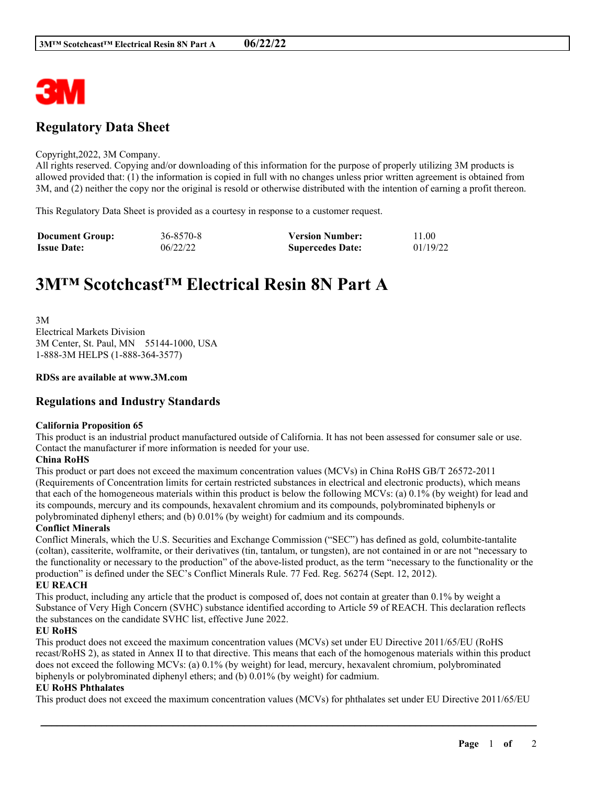

# **Regulatory Data Sheet**

#### Copyright,2022, 3M Company.

All rights reserved. Copying and/or downloading of this information for the purpose of properly utilizing 3M products is allowed provided that: (1) the information is copied in full with no changes unless prior written agreement is obtained from 3M, and (2) neither the copy nor the original is resold or otherwise distributed with the intention of earning a profit thereon.

This Regulatory Data Sheet is provided as a courtesy in response to a customer request.

| <b>Document Group:</b> | 36-8570-8 | <b>Version Number:</b>  | 11.00    |
|------------------------|-----------|-------------------------|----------|
| <b>Issue Date:</b>     | 06/22/22  | <b>Supercedes Date:</b> | 01/19/22 |

# **3M™ Scotchcast™ Electrical Resin 8N Part A**

3M Electrical Markets Division 3M Center, St. Paul, MN 55144-1000, USA 1-888-3M HELPS (1-888-364-3577)

#### **RDSs are available at www.3M.com**

### **Regulations and Industry Standards**

#### **California Proposition 65**

This product is an industrial product manufactured outside of California. It has not been assessed for consumer sale or use. Contact the manufacturer if more information is needed for your use.

#### **China RoHS**

This product or part does not exceed the maximum concentration values (MCVs) in China RoHS GB/T 26572-2011 (Requirements of Concentration limits for certain restricted substances in electrical and electronic products), which means that each of the homogeneous materials within this product is below the following MCVs: (a) 0.1% (by weight) for lead and its compounds, mercury and its compounds, hexavalent chromium and its compounds, polybrominated biphenyls or polybrominated diphenyl ethers; and (b) 0.01% (by weight) for cadmium and its compounds.

#### **Conflict Minerals**

Conflict Minerals, which the U.S. Securities and Exchange Commission ("SEC") has defined as gold, columbite-tantalite (coltan), cassiterite, wolframite, or their derivatives (tin, tantalum, or tungsten), are not contained in or are not "necessary to the functionality or necessary to the production" of the above-listed product, as the term "necessary to the functionality or the production" is defined under the SEC's Conflict Minerals Rule. 77 Fed. Reg. 56274 (Sept. 12, 2012).

#### **EU REACH**

This product, including any article that the product is composed of, does not contain at greater than 0.1% by weight a Substance of Very High Concern (SVHC) substance identified according to Article 59 of REACH. This declaration reflects the substances on the candidate SVHC list, effective June 2022.

#### **EU RoHS**

This product does not exceed the maximum concentration values (MCVs) set under EU Directive 2011/65/EU (RoHS recast/RoHS 2), as stated in Annex II to that directive. This means that each of the homogenous materials within this product does not exceed the following MCVs: (a) 0.1% (by weight) for lead, mercury, hexavalent chromium, polybrominated biphenyls or polybrominated diphenyl ethers; and (b) 0.01% (by weight) for cadmium.

#### **EU RoHS Phthalates**

This product does not exceed the maximum concentration values (MCVs) for phthalates set under EU Directive 2011/65/EU

\_\_\_\_\_\_\_\_\_\_\_\_\_\_\_\_\_\_\_\_\_\_\_\_\_\_\_\_\_\_\_\_\_\_\_\_\_\_\_\_\_\_\_\_\_\_\_\_\_\_\_\_\_\_\_\_\_\_\_\_\_\_\_\_\_\_\_\_\_\_\_\_\_\_\_\_\_\_\_\_\_\_\_\_\_\_\_\_\_\_